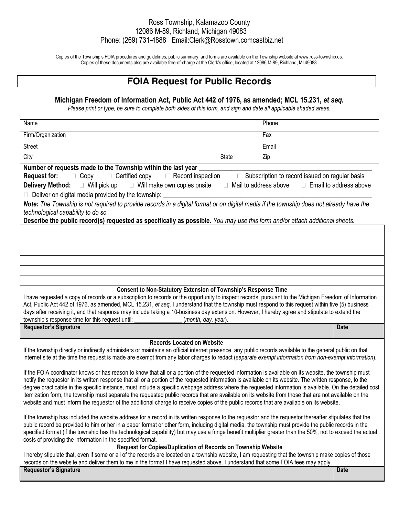## Ross Township, Kalamazoo County 12086 M-89, Richland, Michigan 49083 Phone: (269) 731-4888 Email:Clerk@Rosstown.comcastbiz.net

Copies of the Township's FOIA procedures and guidelines, public summary, and forms are available on the Township website at www.ross-township.us. Copies of these documents also are available free-of-charge at the Clerk's office, located at 12086 M-89, Richland, MI 49083.

## **FOIA Request for Public Records**

## **Michigan Freedom of Information Act, Public Act 442 of 1976, as amended; MCL 15.231,** *et seq***.**

*Please print or type, be sure to complete both sides of this form, and sign and date all applicable shaded areas.*

| Phone<br>Name                                                                                                                                                                                                                   |                        |  |
|---------------------------------------------------------------------------------------------------------------------------------------------------------------------------------------------------------------------------------|------------------------|--|
| Fax<br>Firm/Organization                                                                                                                                                                                                        |                        |  |
| <b>Street</b><br>Email                                                                                                                                                                                                          |                        |  |
| City<br>State<br>Zip                                                                                                                                                                                                            |                        |  |
| Number of requests made to the Township within the last year                                                                                                                                                                    |                        |  |
| <b>Request for:</b><br>Certified copy<br>Record inspection<br>Subscription to record issued on regular basis<br>Copy                                                                                                            |                        |  |
| Will make own copies onsite<br><b>Delivery Method:</b><br>Will pick up<br>Mail to address above                                                                                                                                 | Email to address above |  |
| Deliver on digital media provided by the township:                                                                                                                                                                              |                        |  |
| Note: The Township is not required to provide records in a digital format or on digital media if the township does not already have the                                                                                         |                        |  |
| technological capability to do so.                                                                                                                                                                                              |                        |  |
| Describe the public record(s) requested as specifically as possible. You may use this form and/or attach additional sheets.                                                                                                     |                        |  |
|                                                                                                                                                                                                                                 |                        |  |
|                                                                                                                                                                                                                                 |                        |  |
|                                                                                                                                                                                                                                 |                        |  |
|                                                                                                                                                                                                                                 |                        |  |
|                                                                                                                                                                                                                                 |                        |  |
|                                                                                                                                                                                                                                 |                        |  |
| <b>Consent to Non-Statutory Extension of Township's Response Time</b><br>I have requested a copy of records or a subscription to records or the opportunity to inspect records, pursuant to the Michigan Freedom of Information |                        |  |
| Act, Public Act 442 of 1976, as amended, MCL 15.231, et seq. I understand that the township must respond to this request within five (5) business                                                                               |                        |  |
| days after receiving it, and that response may include taking a 10-business day extension. However, I hereby agree and stipulate to extend the                                                                                  |                        |  |
| township's response time for this request until:<br>(month, day, year).                                                                                                                                                         |                        |  |
| <b>Requestor's Signature</b>                                                                                                                                                                                                    | <b>Date</b>            |  |
| <b>Records Located on Website</b>                                                                                                                                                                                               |                        |  |
| If the township directly or indirectly administers or maintains an official internet presence, any public records available to the general public on that                                                                       |                        |  |
| internet site at the time the request is made are exempt from any labor charges to redact (separate exempt information from non-exempt information).                                                                            |                        |  |
|                                                                                                                                                                                                                                 |                        |  |
| If the FOIA coordinator knows or has reason to know that all or a portion of the requested information is available on its website, the township must                                                                           |                        |  |
| notify the requestor in its written response that all or a portion of the requested information is available on its website. The written response, to the                                                                       |                        |  |
| degree practicable in the specific instance, must include a specific webpage address where the requested information is available. On the detailed cost                                                                         |                        |  |
| itemization form, the township must separate the requested public records that are available on its website from those that are not available on the                                                                            |                        |  |
| website and must inform the requestor of the additional charge to receive copies of the public records that are available on its website.                                                                                       |                        |  |
| If the township has included the website address for a record in its written response to the requestor and the requestor thereafter stipulates that the                                                                         |                        |  |
| public record be provided to him or her in a paper format or other form, including digital media, the township must provide the public records in the                                                                           |                        |  |
| specified format (if the township has the technological capability) but may use a fringe benefit multiplier greater than the 50%, not to exceed the actual                                                                      |                        |  |
| costs of providing the information in the specified format.                                                                                                                                                                     |                        |  |
| Request for Copies/Duplication of Records on Township Website                                                                                                                                                                   |                        |  |
| I hereby stipulate that, even if some or all of the records are located on a township website, I am requesting that the township make copies of those                                                                           |                        |  |
| records on the website and deliver them to me in the format I have requested above. I understand that some FOIA fees may apply.                                                                                                 |                        |  |
| <b>Requestor's Signature</b>                                                                                                                                                                                                    | <b>Date</b>            |  |